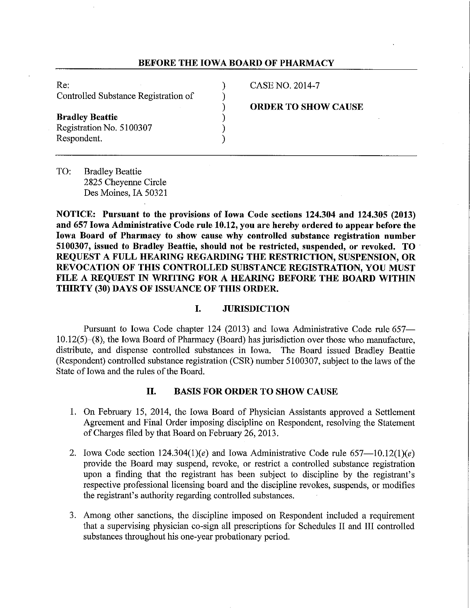## **BEFORE THE IOWA BOARD OF PHARMACY**

Re: (2014-7) CASE NO. 2014-7 Controlled Substance Registration of )

**Bradley Beattie** (1994)<br>Registration No. 5100307 Registration No. 5100307 ) Respondent. ) **ORDER TO SHOW CAUSE** 

TO: Bradley Beattie 2825 Cheyenne Circle Des Moines, IA 50321

**NOTICE: Pursuant to the provisions of Iowa Code sections 124.304 and 124.305 (2013) and 657 Iowa Administrative Code rule 10.12, you are hereby ordered to appear before the Iowa Board of Pharmacy to show cause why controlled substance registration number 5100307, issued to Bradley Beattie, should not be restricted, suspended, or revoked. TO REQUEST A FULL HEARING REGARDING THE RESTRICTION, SUSPENSION, OR REVOCATION OF THIS CONTROLLED SUBSTANCE REGISTRATION, YOU MUST FILE A REQUEST IN WRITING FOR A HEARING BEFORE THE BOARD WITHIN THIRTY (30) DAYS OF ISSUANCE OF THIS ORDER.** 

# **I. JURISDICTION**

Pursuant to Iowa Code chapter 124 (2013) and Iowa Administrative Code rule 657  $10.12(5)$ -(8), the Iowa Board of Pharmacy (Board) has jurisdiction over those who manufacture, distribute, and dispense controlled substances in Iowa. The Board issued Bradley Beattie (Respondent) controlled substance registration (CSR) number 5100307, subject to the laws of the State of Iowa and the rules of the Board.

## **II. BASIS FOR ORDER TO SHOW CAUSE**

- 1. On February 15, 2014, the Iowa Board of Physician Assistants approved a Settlement Agreement and Final Order imposing discipline on Respondent, resolving the Statement of Charges filed by that Board on February 26, 2013.
- 2. Iowa Code section  $124.304(1)(e)$  and Iowa Administrative Code rule  $657-10.12(1)(e)$ provide the Board may suspend, revoke, or restrict a controlled substance registration upon a finding that the registrant has been subject to discipline by the registrant's respective professional licensing board and the discipline revokes, suspends, or modifies the registrant's authority regarding controlled substances.
- 3. Among other sanctions, the discipline imposed on Respondent included a requirement that a supervising physician co-sign all prescriptions for Schedules II and III controlled substances throughout his one-year probationary period.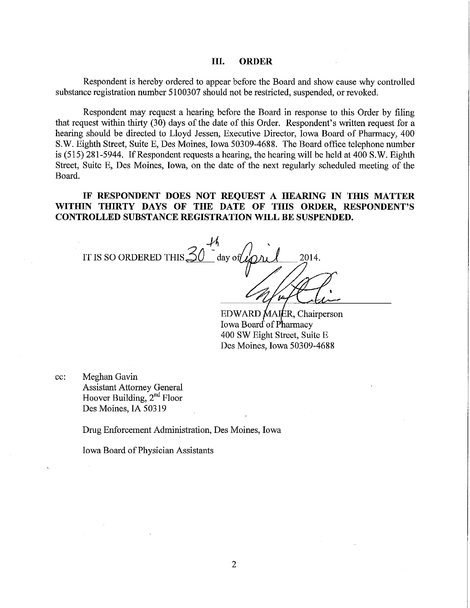#### **III. ORDER**

Respondent is hereby ordered to appear before the Board and show cause why controlled substance registration number 5100307 should not be restricted, suspended, or revoked.

Respondent may request a hearing before the Board in response to this Order by filing that request within thirty (30) days of the date of this Order. Respondent's written request for a hearing should be directed to Lloyd Jessen, Executive Director, Iowa Board of Pharmacy, 400 S.W. Eighth Street, Suite E, Des Moines, Iowa 50309-4688. The Board office telephone number is (515) 281-5944. If Respondent requests a hearing, the hearing will be held at 400 S.W. Eighth Street, Suite E, Des Moines, Iowa, on the date of the next regularly scheduled meeting of the Board.

**IF RESPONDENT DOES NOT REQUEST A HEARING IN THIS MATTER WITHIN THIRTY DAYS OF THE DATE OF THIS ORDER, RESPONDENT'S CONTROLLED SUBSTANCE REGISTRATION WILL BE SUSPENDED.** 

IT IS SO ORDERED THIS  $\frac{30}{30}$  day of  $\mu$ 2014.

EDWARD MAIER, Chairperson Iowa Board of Pharmacy 400 SW Eight Street, Suite E Des Moines, Iowa 50309-4688

cc: Meghan Gavin Assistant Attorney General Hoover Building,  $2<sup>nd</sup>$  Floor Des Moines, IA 50319

Drug Enforcement Administration, Des Moines, Iowa

Iowa Board of Physician Assistants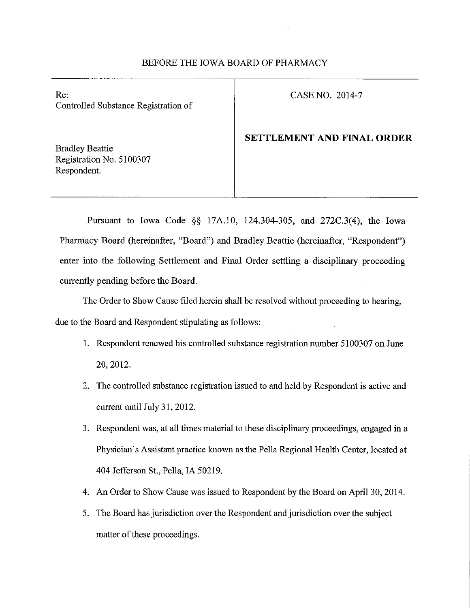# BEFORE THE IOWA BOARD OF PHARMACY

Re: CASENO. 2014-7 Controlled Substance Registration of

## **SETTLEMENT AND FINAL ORDER**

Bradley Beattie Registration No. 5100307 Respondent.

Pursuant to Iowa Code §§ 17A.10, 124.304-305, and 272C.3(4), the Iowa Pharmacy Board (hereinafter, "Board") and Bradley Beattie (hereinafter, "Respondent") enter into the following Settlement and Final Order settling a disciplinary proceeding currently pending before the Board.

The Order to Show Cause filed herein shall be resolved without proceeding to hearing, due to the Board and Respondent stipulating as follows:

- 1. Respondent renewed his controlled substance registration number 5100307 on June 20, 2012.
- 2. The controlled substance registration issued to and held by Respondent is active and current until July 31, 2012.
- 3. Respondent was, at all times material to these disciplinary proceedings, engaged in a Physician's Assistant practice known as the Pella Regional Health Center, located at 404 Jefferson St., Pella, IA 50219.
- 4. An Order to Show Cause was issued to Respondent by the Board on April 30, 2014.
- 5. The Board has jurisdiction over the Respondent and jurisdiction over the subject matter of these proceedings.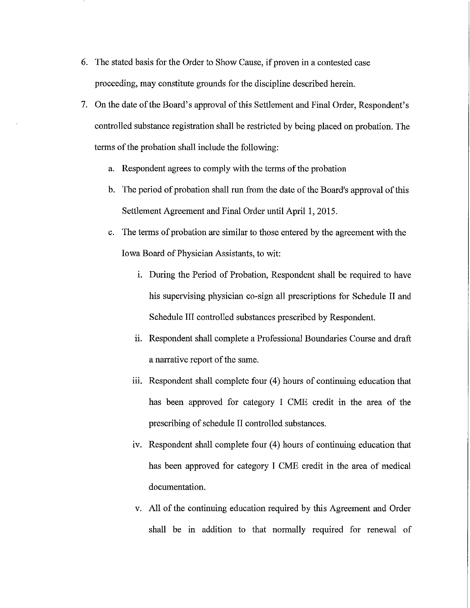- 6. The stated basis for the Order to Show Cause, if proven in a contested case proceeding, may constitute grounds for the discipline described herein.
- 7. On the date of the Board's approval of this Settlement and Final Order, Respondent's controlled substance registration shall be restricted by being placed on probation. The terms of the probation shall include the following:
	- a. Respondent agrees to comply with the terms of the probation
	- b. The period of probation shall run from the date of the Board's approval of this Settlement Agreement and Final Order until April 1, 2015.
	- c. The terms of probation are similar to those entered by the agreement with the Iowa Board of Physician Assistants, to wit:
		- i. During the Period of Probation, Respondent shall be required to have his supervising physician co-sign all prescriptions for Schedule II and Schedule III controlled substances prescribed by Respondent.
		- ii. Respondent shall complete a Professional Boundaries Course and draft a narrative report of the same.
		- iii. Respondent shall complete four (4) hours of continuing education that has been approved for category I CME credit in the area of the prescribing of schedule II controlled substances.
		- iv. Respondent shall complete four (4) hours of continuing education that has been approved for category I CME credit in the area of medical documentation.
		- v. All of the continuing education required by this Agreement and Order shall be in addition to that normally required for renewal of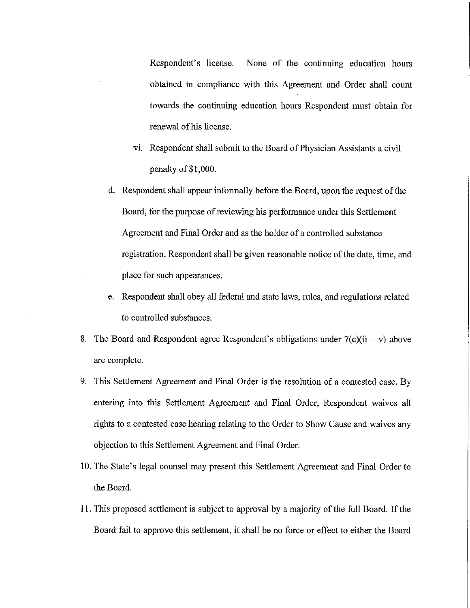Respondent's license. None of the continuing education hours obtained in compliance with this Agreement and Order shall count towards the continuing education hours Respondent must obtain for renewal of his license.

- vi. Respondent shall submit to the Board of Physician Assistants a civil penalty of \$1,000.
- d. Respondent shall appear informally before the Board, upon the request of the Board, for the purpose of reviewing his performance under this Settlement Agreement and Final Order and as the holder of a controlled substance registration. Respondent shall be given reasonable notice of the date, time, and place for such appearances.
- e. Respondent shall obey all federal and state laws, rules, and regulations related to controlled substances.
- 8. The Board and Respondent agree Respondent's obligations under  $7(c)(ii v)$  above are complete.
- 9. This Settlement Agreement and Final Order is the resolution of a contested case. By entering into this Settlement Agreement and Final Order, Respondent waives all rights to a contested case hearing relating to the Order to Show Cause and waives any objection to this Settlement Agreement and Final Order.
- 10. The State's legal counsel may present this Settlement Agreement and Final Order to the Board.
- 11. This proposed settlement is subject to approval by a majority of the full Board. If the Board fail to approve this settlement, it shall be no force or effect to either the Board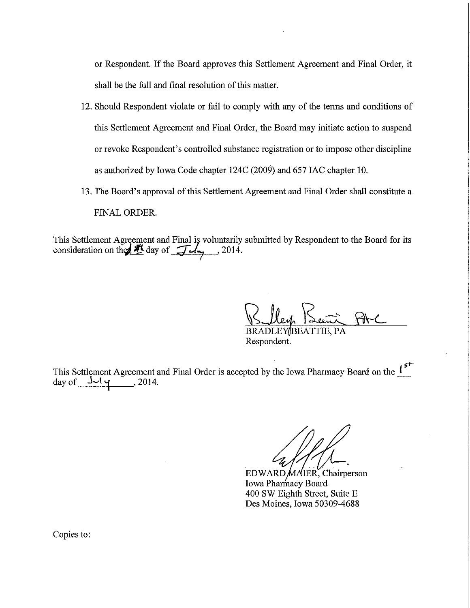or Respondent. If the Board approves this Settlement Agreement and Final Order, it shall be the full and final resolution of this matter.

- 12. Should Respondent violate or fail to comply with any of the terms and conditions of this Settlement Agreement and Final Order, the Board may initiate action to suspend or revoke Respondent's controlled substance registration or to impose other discipline as authorized by Iowa Code chapter 124C (2009) and 657 IAC chapter 10.
- 13. The Board's approval of this Settlement Agreement and Final Order shall constitute a FINAL ORDER.

This Settlement Agreement and Final is voluntarily submitted by Respondent to the Board for its consideration on the  $\frac{H}{2}$  day of  $\frac{H}{2}$ , 2014.

Bulley Keni PAC

Respondent.

~r This Settlement Agreement and Final Order is accepted by the Iowa Pharmacy Board on the  $\mathbf{I}^*$ day of  $J\rightarrow V$   $\gamma$ , 2014.

EDWARD MAIER, Chairperson Iowa Pharmacy Board 400 SW Eighth Street, Suite E Des Moines, Iowa 50309-4688

Copies to: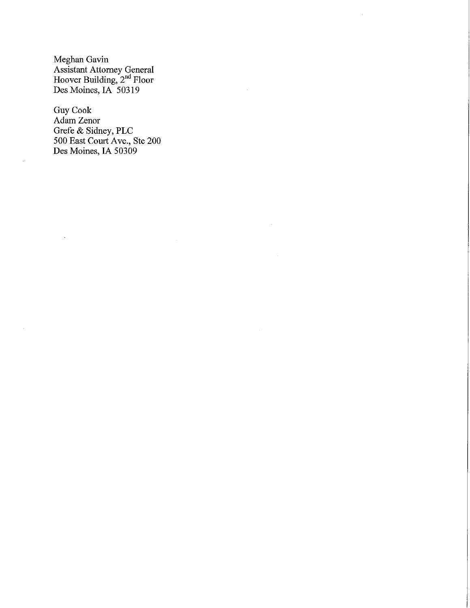Meghan Gavin Assistant Attorney General Hoover Building, 2<sup>nd</sup> Floor Des Moines, IA 50319

Guy Cook Adam Zenor Grefe & Sidney, PLC 500 East Court Ave., Ste 200 Des Moines, IA 50309